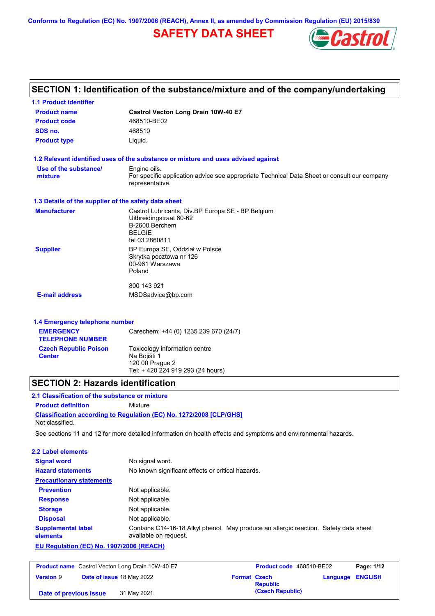**Conforms to Regulation (EC) No. 1907/2006 (REACH), Annex II, as amended by Commission Regulation (EU) 2015/830**

## **SAFETY DATA SHEET**



| <b>1.1 Product identifier</b>                        |                                                                                                                |
|------------------------------------------------------|----------------------------------------------------------------------------------------------------------------|
| <b>Product name</b>                                  | <b>Castrol Vecton Long Drain 10W-40 E7</b>                                                                     |
| <b>Product code</b>                                  | 468510-BE02                                                                                                    |
| SDS no.                                              | 468510                                                                                                         |
| <b>Product type</b>                                  | Liquid.                                                                                                        |
|                                                      | 1.2 Relevant identified uses of the substance or mixture and uses advised against                              |
| Use of the substance/                                | Engine oils.                                                                                                   |
| mixture                                              | For specific application advice see appropriate Technical Data Sheet or consult our company<br>representative. |
| 1.3 Details of the supplier of the safety data sheet |                                                                                                                |
| <b>Manufacturer</b>                                  | Castrol Lubricants, Div.BP Europa SE - BP Belgium                                                              |
|                                                      | Uitbreidingstraat 60-62<br>B-2600 Berchem                                                                      |
|                                                      | <b>BELGIE</b>                                                                                                  |
|                                                      | tel 03 2860811                                                                                                 |
| <b>Supplier</b>                                      | BP Europa SE, Oddział w Polsce                                                                                 |
|                                                      | Skrytka pocztowa nr 126<br>00-961 Warszawa                                                                     |
|                                                      | Poland                                                                                                         |
|                                                      | 800 143 921                                                                                                    |
| <b>E-mail address</b>                                | MSDSadvice@bp.com                                                                                              |
| 1.4 Emergency telephone number                       |                                                                                                                |
| <b>EMERGENCY</b>                                     | Carechem: +44 (0) 1235 239 670 (24/7)                                                                          |
| <b>TELEPHONE NUMBER</b>                              |                                                                                                                |
| <b>Czech Republic Poison</b>                         | Toxicology information centre                                                                                  |
| <b>Center</b>                                        | Na Bojišti 1                                                                                                   |
|                                                      | 120 00 Prague 2<br>Tel: + 420 224 919 293 (24 hours)                                                           |

### **SECTION 2: Hazards identification**

#### **2.1 Classification of the substance or mixture**

**Product definition** Mixture

**Classification according to Regulation (EC) No. 1272/2008 [CLP/GHS]**

Not classified.

See sections 11 and 12 for more detailed information on health effects and symptoms and environmental hazards.

| 2.2 Label elements                       |                                                                                                               |
|------------------------------------------|---------------------------------------------------------------------------------------------------------------|
| <b>Signal word</b>                       | No signal word.                                                                                               |
| <b>Hazard statements</b>                 | No known significant effects or critical hazards.                                                             |
| <b>Precautionary statements</b>          |                                                                                                               |
| <b>Prevention</b>                        | Not applicable.                                                                                               |
| <b>Response</b>                          | Not applicable.                                                                                               |
| <b>Storage</b>                           | Not applicable.                                                                                               |
| <b>Disposal</b>                          | Not applicable.                                                                                               |
| <b>Supplemental label</b><br>elements    | Contains C14-16-18 Alkyl phenol. May produce an allergic reaction. Safety data sheet<br>available on request. |
| EU Regulation (EC) No. 1907/2006 (REACH) |                                                                                                               |

| <b>Product name</b> Castrol Vecton Long Drain 10W-40 E7 |  |                           | Product code 468510-BE02 | Page: 1/12       |                         |  |
|---------------------------------------------------------|--|---------------------------|--------------------------|------------------|-------------------------|--|
| <b>Version 9</b>                                        |  | Date of issue 18 May 2022 | <b>Format Czech</b>      | <b>Republic</b>  | <b>Language ENGLISH</b> |  |
| Date of previous issue                                  |  | 31 May 2021.              |                          | (Czech Republic) |                         |  |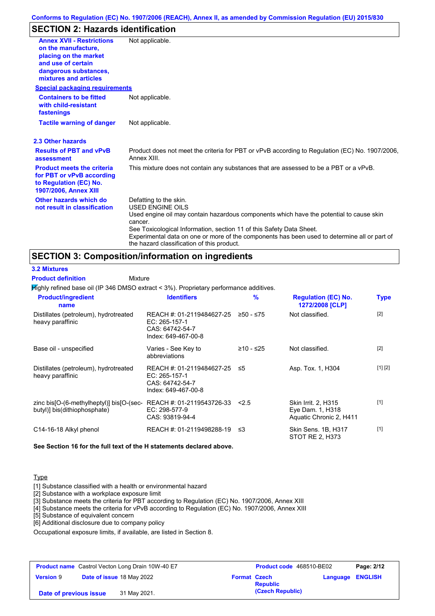### **SECTION 2: Hazards identification**

| <b>Annex XVII - Restrictions</b><br>on the manufacture.<br>placing on the market<br>and use of certain<br>dangerous substances,<br>mixtures and articles | Not applicable.                                                                                                                                                                                                                                                                                                                                                               |
|----------------------------------------------------------------------------------------------------------------------------------------------------------|-------------------------------------------------------------------------------------------------------------------------------------------------------------------------------------------------------------------------------------------------------------------------------------------------------------------------------------------------------------------------------|
| <b>Special packaging requirements</b>                                                                                                                    |                                                                                                                                                                                                                                                                                                                                                                               |
| <b>Containers to be fitted</b><br>with child-resistant<br>fastenings                                                                                     | Not applicable.                                                                                                                                                                                                                                                                                                                                                               |
| <b>Tactile warning of danger</b>                                                                                                                         | Not applicable.                                                                                                                                                                                                                                                                                                                                                               |
| 2.3 Other hazards                                                                                                                                        |                                                                                                                                                                                                                                                                                                                                                                               |
| <b>Results of PBT and vPvB</b><br>assessment                                                                                                             | Product does not meet the criteria for PBT or vPvB according to Regulation (EC) No. 1907/2006,<br>Annex XIII.                                                                                                                                                                                                                                                                 |
| <b>Product meets the criteria</b><br>for PBT or vPvB according<br>to Regulation (EC) No.<br>1907/2006, Annex XIII                                        | This mixture does not contain any substances that are assessed to be a PBT or a vPvB.                                                                                                                                                                                                                                                                                         |
| Other hazards which do<br>not result in classification                                                                                                   | Defatting to the skin.<br><b>USED ENGINE OILS</b><br>Used engine oil may contain hazardous components which have the potential to cause skin<br>cancer.<br>See Toxicological Information, section 11 of this Safety Data Sheet.<br>Experimental data on one or more of the components has been used to determine all or part of<br>the hazard classification of this product. |

### **SECTION 3: Composition/information on ingredients**

**3.2 Mixtures**

#### Mixture **Product definition**

Highly refined base oil (IP 346 DMSO extract < 3%). Proprietary performance additives.

| <b>Product/ingredient</b><br>name                                        | <b>Identifiers</b>                                                                   | $\frac{9}{6}$ | <b>Regulation (EC) No.</b><br>1272/2008 [CLP]                             | <b>Type</b> |
|--------------------------------------------------------------------------|--------------------------------------------------------------------------------------|---------------|---------------------------------------------------------------------------|-------------|
| Distillates (petroleum), hydrotreated<br>heavy paraffinic                | REACH #: 01-2119484627-25<br>EC: 265-157-1<br>CAS: 64742-54-7<br>Index: 649-467-00-8 | $≥50 - ≤75$   | Not classified.                                                           | $[2]$       |
| Base oil - unspecified                                                   | Varies - See Key to<br>abbreviations                                                 | $≥10 - ≤25$   | Not classified.                                                           | $[2]$       |
| Distillates (petroleum), hydrotreated<br>heavy paraffinic                | REACH #: 01-2119484627-25<br>EC: 265-157-1<br>CAS: 64742-54-7<br>Index: 649-467-00-8 | ≤5            | Asp. Tox. 1, H304                                                         | [1] [2]     |
| zinc bis[O-(6-methylheptyl)] bis[O-(sec-<br>butyl)] bis(dithiophosphate) | REACH #: 01-2119543726-33<br>EC: 298-577-9<br>CAS: 93819-94-4                        | 2.5           | <b>Skin Irrit. 2, H315</b><br>Eye Dam. 1, H318<br>Aquatic Chronic 2, H411 | $[1]$       |
| C14-16-18 Alkyl phenol                                                   | REACH #: 01-2119498288-19                                                            | -≤3           | Skin Sens. 1B, H317<br>STOT RE 2, H373                                    | $[1]$       |

**See Section 16 for the full text of the H statements declared above.**

#### **Type**

[1] Substance classified with a health or environmental hazard

[2] Substance with a workplace exposure limit

[3] Substance meets the criteria for PBT according to Regulation (EC) No. 1907/2006, Annex XIII

[4] Substance meets the criteria for vPvB according to Regulation (EC) No. 1907/2006, Annex XIII

[5] Substance of equivalent concern

[6] Additional disclosure due to company policy

Occupational exposure limits, if available, are listed in Section 8.

| <b>Product name</b> Castrol Vecton Long Drain 10W-40 E7 |  | Product code 468510-BE02  |                     | Page: 2/12       |                         |  |
|---------------------------------------------------------|--|---------------------------|---------------------|------------------|-------------------------|--|
| <b>Version 9</b>                                        |  | Date of issue 18 May 2022 | <b>Format Czech</b> | <b>Republic</b>  | <b>Language ENGLISH</b> |  |
| Date of previous issue                                  |  | 31 May 2021.              |                     | (Czech Republic) |                         |  |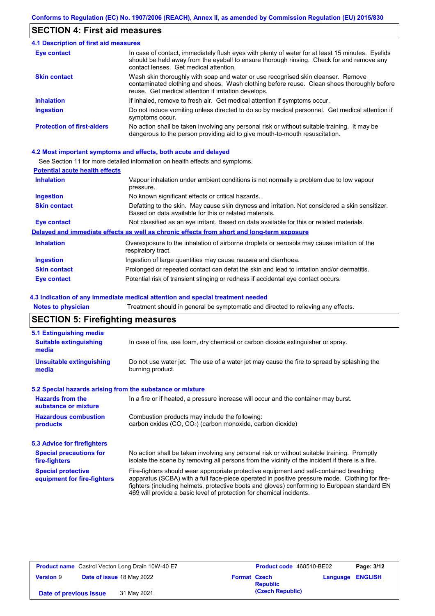### **SECTION 4: First aid measures**

| <b>4.1 Description of first aid measures</b> |                                                                                                                                                                                                                                         |
|----------------------------------------------|-----------------------------------------------------------------------------------------------------------------------------------------------------------------------------------------------------------------------------------------|
| Eye contact                                  | In case of contact, immediately flush eyes with plenty of water for at least 15 minutes. Eyelids<br>should be held away from the eyeball to ensure thorough rinsing. Check for and remove any<br>contact lenses. Get medical attention. |
| <b>Skin contact</b>                          | Wash skin thoroughly with soap and water or use recognised skin cleanser. Remove<br>contaminated clothing and shoes. Wash clothing before reuse. Clean shoes thoroughly before<br>reuse. Get medical attention if irritation develops.  |
| <b>Inhalation</b>                            | If inhaled, remove to fresh air. Get medical attention if symptoms occur.                                                                                                                                                               |
| <b>Ingestion</b>                             | Do not induce vomiting unless directed to do so by medical personnel. Get medical attention if<br>symptoms occur.                                                                                                                       |
| <b>Protection of first-aiders</b>            | No action shall be taken involving any personal risk or without suitable training. It may be<br>dangerous to the person providing aid to give mouth-to-mouth resuscitation.                                                             |

#### **4.2 Most important symptoms and effects, both acute and delayed**

See Section 11 for more detailed information on health effects and symptoms.

| <b>Potential acute health effects</b> |                                                                                                                                                           |
|---------------------------------------|-----------------------------------------------------------------------------------------------------------------------------------------------------------|
| <b>Inhalation</b>                     | Vapour inhalation under ambient conditions is not normally a problem due to low vapour<br>pressure.                                                       |
| <b>Ingestion</b>                      | No known significant effects or critical hazards.                                                                                                         |
| <b>Skin contact</b>                   | Defatting to the skin. May cause skin dryness and irritation. Not considered a skin sensitizer.<br>Based on data available for this or related materials. |
| Eye contact                           | Not classified as an eye irritant. Based on data available for this or related materials.                                                                 |
|                                       | Delayed and immediate effects as well as chronic effects from short and long-term exposure                                                                |
| <b>Inhalation</b>                     | Overexposure to the inhalation of airborne droplets or aerosols may cause irritation of the<br>respiratory tract.                                         |
| <b>Ingestion</b>                      | Ingestion of large quantities may cause nausea and diarrhoea.                                                                                             |
| <b>Skin contact</b>                   | Prolonged or repeated contact can defat the skin and lead to irritation and/or dermatitis.                                                                |
| <b>Eye contact</b>                    | Potential risk of transient stinging or redness if accidental eye contact occurs.                                                                         |

#### **4.3 Indication of any immediate medical attention and special treatment needed**

**Notes to physician** Treatment should in general be symptomatic and directed to relieving any effects.

## **SECTION 5: Firefighting measures**

| 5.1 Extinguishing media                                   |                                                                                                                                                                                                                                                                                                                                                                   |
|-----------------------------------------------------------|-------------------------------------------------------------------------------------------------------------------------------------------------------------------------------------------------------------------------------------------------------------------------------------------------------------------------------------------------------------------|
| <b>Suitable extinguishing</b><br>media                    | In case of fire, use foam, dry chemical or carbon dioxide extinguisher or spray.                                                                                                                                                                                                                                                                                  |
| <b>Unsuitable extinguishing</b><br>media                  | Do not use water jet. The use of a water jet may cause the fire to spread by splashing the<br>burning product.                                                                                                                                                                                                                                                    |
| 5.2 Special hazards arising from the substance or mixture |                                                                                                                                                                                                                                                                                                                                                                   |
| <b>Hazards from the</b><br>substance or mixture           | In a fire or if heated, a pressure increase will occur and the container may burst.                                                                                                                                                                                                                                                                               |
| <b>Hazardous combustion</b><br>products                   | Combustion products may include the following:<br>carbon oxides (CO, CO <sub>2</sub> ) (carbon monoxide, carbon dioxide)                                                                                                                                                                                                                                          |
| 5.3 Advice for firefighters                               |                                                                                                                                                                                                                                                                                                                                                                   |
| <b>Special precautions for</b><br>fire-fighters           | No action shall be taken involving any personal risk or without suitable training. Promptly<br>isolate the scene by removing all persons from the vicinity of the incident if there is a fire.                                                                                                                                                                    |
| <b>Special protective</b><br>equipment for fire-fighters  | Fire-fighters should wear appropriate protective equipment and self-contained breathing<br>apparatus (SCBA) with a full face-piece operated in positive pressure mode. Clothing for fire-<br>fighters (including helmets, protective boots and gloves) conforming to European standard EN<br>469 will provide a basic level of protection for chemical incidents. |

| <b>Product name</b> Castrol Vecton Long Drain 10W-40 E7 |                                  |              | Product code 468510-BE02 | Page: 3/12       |          |                |
|---------------------------------------------------------|----------------------------------|--------------|--------------------------|------------------|----------|----------------|
| <b>Version 9</b>                                        | <b>Date of issue 18 May 2022</b> |              | <b>Format Czech</b>      | <b>Republic</b>  | Language | <b>ENGLISH</b> |
| Date of previous issue                                  |                                  | 31 May 2021. |                          | (Czech Republic) |          |                |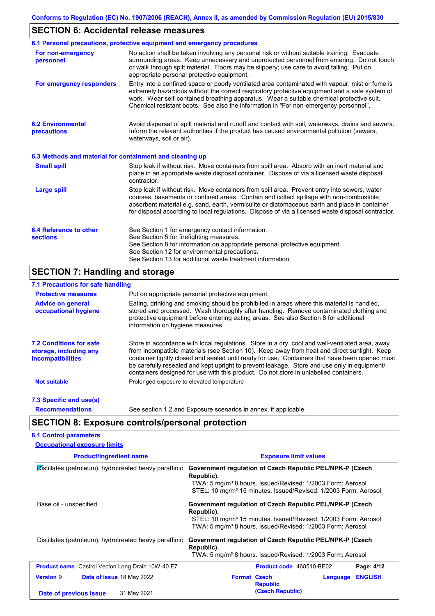## **SECTION 6: Accidental release measures**

| 6.1 Personal precautions, protective equipment and emergency procedures                                                                                                                                                                                                                                                                                                                        |
|------------------------------------------------------------------------------------------------------------------------------------------------------------------------------------------------------------------------------------------------------------------------------------------------------------------------------------------------------------------------------------------------|
| No action shall be taken involving any personal risk or without suitable training. Evacuate<br>surrounding areas. Keep unnecessary and unprotected personnel from entering. Do not touch<br>or walk through spilt material. Floors may be slippery; use care to avoid falling. Put on<br>appropriate personal protective equipment.                                                            |
| Entry into a confined space or poorly ventilated area contaminated with vapour, mist or fume is<br>extremely hazardous without the correct respiratory protective equipment and a safe system of<br>work. Wear self-contained breathing apparatus. Wear a suitable chemical protective suit.<br>Chemical resistant boots. See also the information in "For non-emergency personnel".           |
| Avoid dispersal of spilt material and runoff and contact with soil, waterways, drains and sewers.<br>Inform the relevant authorities if the product has caused environmental pollution (sewers,<br>waterways, soil or air).                                                                                                                                                                    |
| 6.3 Methods and material for containment and cleaning up                                                                                                                                                                                                                                                                                                                                       |
| Stop leak if without risk. Move containers from spill area. Absorb with an inert material and<br>place in an appropriate waste disposal container. Dispose of via a licensed waste disposal<br>contractor.                                                                                                                                                                                     |
| Stop leak if without risk. Move containers from spill area. Prevent entry into sewers, water<br>courses, basements or confined areas. Contain and collect spillage with non-combustible,<br>absorbent material e.g. sand, earth, vermiculite or diatomaceous earth and place in container<br>for disposal according to local regulations. Dispose of via a licensed waste disposal contractor. |
| See Section 1 for emergency contact information.<br>See Section 5 for firefighting measures.<br>See Section 8 for information on appropriate personal protective equipment.<br>See Section 12 for environmental precautions.                                                                                                                                                                   |
|                                                                                                                                                                                                                                                                                                                                                                                                |

#### **7.1 Precautions for safe handling**

| <b>Protective measures</b>                                                           | Put on appropriate personal protective equipment.                                                                                                                                                                                                                                                                                                                                                                                                                                        |  |  |  |  |
|--------------------------------------------------------------------------------------|------------------------------------------------------------------------------------------------------------------------------------------------------------------------------------------------------------------------------------------------------------------------------------------------------------------------------------------------------------------------------------------------------------------------------------------------------------------------------------------|--|--|--|--|
| <b>Advice on general</b><br>occupational hygiene                                     | Eating, drinking and smoking should be prohibited in areas where this material is handled,<br>stored and processed. Wash thoroughly after handling. Remove contaminated clothing and<br>protective equipment before entering eating areas. See also Section 8 for additional<br>information on hygiene measures.                                                                                                                                                                         |  |  |  |  |
| <b>7.2 Conditions for safe</b><br>storage, including any<br><i>incompatibilities</i> | Store in accordance with local requiations. Store in a dry, cool and well-ventilated area, away<br>from incompatible materials (see Section 10). Keep away from heat and direct sunlight. Keep<br>container tightly closed and sealed until ready for use. Containers that have been opened must<br>be carefully resealed and kept upright to prevent leakage. Store and use only in equipment/<br>containers designed for use with this product. Do not store in unlabelled containers. |  |  |  |  |
| <b>Not suitable</b>                                                                  | Prolonged exposure to elevated temperature                                                                                                                                                                                                                                                                                                                                                                                                                                               |  |  |  |  |
| 7.3 Specific end use(s)                                                              |                                                                                                                                                                                                                                                                                                                                                                                                                                                                                          |  |  |  |  |
| <b>Recommendations</b>                                                               | See section 1.2 and Exposure scenarios in annex, if applicable.                                                                                                                                                                                                                                                                                                                                                                                                                          |  |  |  |  |

## **SECTION 8: Exposure controls/personal protection**

| <b>8.1 Control parameters</b>                           |                                                                                                                                                                                                                                 |
|---------------------------------------------------------|---------------------------------------------------------------------------------------------------------------------------------------------------------------------------------------------------------------------------------|
| <b>Occupational exposure limits</b>                     |                                                                                                                                                                                                                                 |
| <b>Product/ingredient name</b>                          | <b>Exposure limit values</b>                                                                                                                                                                                                    |
| Distillates (petroleum), hydrotreated heavy paraffinic  | Government regulation of Czech Republic PEL/NPK-P (Czech<br>Republic).<br>TWA: 5 mg/m <sup>3</sup> 8 hours. Issued/Revised: 1/2003 Form: Aerosol<br>STEL: 10 mg/m <sup>3</sup> 15 minutes. Issued/Revised: 1/2003 Form: Aerosol |
| Base oil - unspecified                                  | Government regulation of Czech Republic PEL/NPK-P (Czech<br>Republic).<br>STEL: 10 mg/m <sup>3</sup> 15 minutes. Issued/Revised: 1/2003 Form: Aerosol<br>TWA: 5 mg/m <sup>3</sup> 8 hours. Issued/Revised: 1/2003 Form: Aerosol |
| Distillates (petroleum), hydrotreated heavy paraffinic  | Government regulation of Czech Republic PEL/NPK-P (Czech<br>Republic).<br>TWA: 5 mg/m <sup>3</sup> 8 hours. Issued/Revised: 1/2003 Form: Aerosol                                                                                |
| <b>Product name</b> Castrol Vecton Long Drain 10W-40 E7 | Product code 468510-BE02<br>Page: 4/12                                                                                                                                                                                          |
| <b>Version 9</b><br>Date of issue 18 May 2022           | <b>Format Czech</b><br><b>ENGLISH</b><br>Language<br><b>Republic</b>                                                                                                                                                            |
| 31 May 2021.<br>Date of previous issue                  | (Czech Republic)                                                                                                                                                                                                                |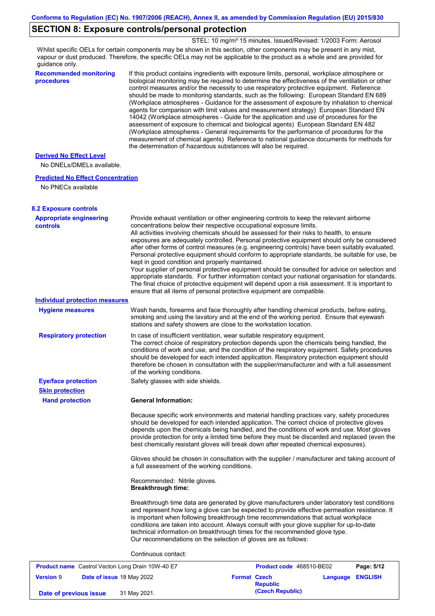### **SECTION 8: Exposure controls/personal protection**

STEL: 10 mg/m<sup>3</sup> 15 minutes. Issued/Revised: 1/2003 Form: Aerosol

Whilst specific OELs for certain components may be shown in this section, other components may be present in any mist, vapour or dust produced. Therefore, the specific OELs may not be applicable to the product as a whole and are provided for guidance only.

**Recommended monitoring procedures** If this product contains ingredients with exposure limits, personal, workplace atmosphere or biological monitoring may be required to determine the effectiveness of the ventilation or other control measures and/or the necessity to use respiratory protective equipment. Reference should be made to monitoring standards, such as the following: European Standard EN 689 (Workplace atmospheres - Guidance for the assessment of exposure by inhalation to chemical agents for comparison with limit values and measurement strategy) European Standard EN 14042 (Workplace atmospheres - Guide for the application and use of procedures for the assessment of exposure to chemical and biological agents) European Standard EN 482 (Workplace atmospheres - General requirements for the performance of procedures for the measurement of chemical agents) Reference to national guidance documents for methods for the determination of hazardous substances will also be required. Provide exhaust ventilation or other engineering controls to keep the relevant airborne concentrations below their respective occupational exposure limits. All activities involving chemicals should be assessed for their risks to health, to ensure No DNELs/DMELs available. **Predicted No Effect Concentration** No PNECs available **Derived No Effect Level**

| <b>8.2 Exposure controls</b>                      |                                                                                                                                                                                                                                                                                                                                                                                                                                                                                                                                                                                                                                                                                                                                                                                                                                                                                                                                                                                                         |                                     |          |                |
|---------------------------------------------------|---------------------------------------------------------------------------------------------------------------------------------------------------------------------------------------------------------------------------------------------------------------------------------------------------------------------------------------------------------------------------------------------------------------------------------------------------------------------------------------------------------------------------------------------------------------------------------------------------------------------------------------------------------------------------------------------------------------------------------------------------------------------------------------------------------------------------------------------------------------------------------------------------------------------------------------------------------------------------------------------------------|-------------------------------------|----------|----------------|
| <b>Appropriate engineering</b><br><b>controls</b> | Provide exhaust ventilation or other engineering controls to keep the relevant airborne<br>concentrations below their respective occupational exposure limits.<br>All activities involving chemicals should be assessed for their risks to health, to ensure<br>exposures are adequately controlled. Personal protective equipment should only be considered<br>after other forms of control measures (e.g. engineering controls) have been suitably evaluated.<br>Personal protective equipment should conform to appropriate standards, be suitable for use, be<br>kept in good condition and properly maintained.<br>Your supplier of personal protective equipment should be consulted for advice on selection and<br>appropriate standards. For further information contact your national organisation for standards.<br>The final choice of protective equipment will depend upon a risk assessment. It is important to<br>ensure that all items of personal protective equipment are compatible. |                                     |          |                |
| <b>Individual protection measures</b>             |                                                                                                                                                                                                                                                                                                                                                                                                                                                                                                                                                                                                                                                                                                                                                                                                                                                                                                                                                                                                         |                                     |          |                |
| <b>Hygiene measures</b>                           | Wash hands, forearms and face thoroughly after handling chemical products, before eating,<br>smoking and using the lavatory and at the end of the working period. Ensure that eyewash<br>stations and safety showers are close to the workstation location.                                                                                                                                                                                                                                                                                                                                                                                                                                                                                                                                                                                                                                                                                                                                             |                                     |          |                |
| <b>Respiratory protection</b>                     | In case of insufficient ventilation, wear suitable respiratory equipment.<br>The correct choice of respiratory protection depends upon the chemicals being handled, the<br>conditions of work and use, and the condition of the respiratory equipment. Safety procedures<br>should be developed for each intended application. Respiratory protection equipment should<br>therefore be chosen in consultation with the supplier/manufacturer and with a full assessment<br>of the working conditions.                                                                                                                                                                                                                                                                                                                                                                                                                                                                                                   |                                     |          |                |
| <b>Eye/face protection</b>                        | Safety glasses with side shields.                                                                                                                                                                                                                                                                                                                                                                                                                                                                                                                                                                                                                                                                                                                                                                                                                                                                                                                                                                       |                                     |          |                |
| <b>Skin protection</b>                            |                                                                                                                                                                                                                                                                                                                                                                                                                                                                                                                                                                                                                                                                                                                                                                                                                                                                                                                                                                                                         |                                     |          |                |
| <b>Hand protection</b>                            | <b>General Information:</b>                                                                                                                                                                                                                                                                                                                                                                                                                                                                                                                                                                                                                                                                                                                                                                                                                                                                                                                                                                             |                                     |          |                |
|                                                   | Because specific work environments and material handling practices vary, safety procedures<br>should be developed for each intended application. The correct choice of protective gloves<br>depends upon the chemicals being handled, and the conditions of work and use. Most gloves<br>provide protection for only a limited time before they must be discarded and replaced (even the<br>best chemically resistant gloves will break down after repeated chemical exposures).                                                                                                                                                                                                                                                                                                                                                                                                                                                                                                                        |                                     |          |                |
|                                                   | Gloves should be chosen in consultation with the supplier / manufacturer and taking account of<br>a full assessment of the working conditions.                                                                                                                                                                                                                                                                                                                                                                                                                                                                                                                                                                                                                                                                                                                                                                                                                                                          |                                     |          |                |
|                                                   | Recommended: Nitrile gloves.<br><b>Breakthrough time:</b>                                                                                                                                                                                                                                                                                                                                                                                                                                                                                                                                                                                                                                                                                                                                                                                                                                                                                                                                               |                                     |          |                |
|                                                   | Breakthrough time data are generated by glove manufacturers under laboratory test conditions<br>and represent how long a glove can be expected to provide effective permeation resistance. It<br>is important when following breakthrough time recommendations that actual workplace<br>conditions are taken into account. Always consult with your glove supplier for up-to-date<br>technical information on breakthrough times for the recommended glove type.<br>Our recommendations on the selection of gloves are as follows:                                                                                                                                                                                                                                                                                                                                                                                                                                                                      |                                     |          |                |
|                                                   | Continuous contact:                                                                                                                                                                                                                                                                                                                                                                                                                                                                                                                                                                                                                                                                                                                                                                                                                                                                                                                                                                                     |                                     |          |                |
| Product name Castrol Vecton Long Drain 10W-40 E7  |                                                                                                                                                                                                                                                                                                                                                                                                                                                                                                                                                                                                                                                                                                                                                                                                                                                                                                                                                                                                         | Product code 468510-BE02            |          | Page: 5/12     |
| <b>Version 9</b><br>Date of issue 18 May 2022     |                                                                                                                                                                                                                                                                                                                                                                                                                                                                                                                                                                                                                                                                                                                                                                                                                                                                                                                                                                                                         | <b>Format Czech</b>                 | Language | <b>ENGLISH</b> |
| Date of previous issue                            | 31 May 2021.                                                                                                                                                                                                                                                                                                                                                                                                                                                                                                                                                                                                                                                                                                                                                                                                                                                                                                                                                                                            | <b>Republic</b><br>(Czech Republic) |          |                |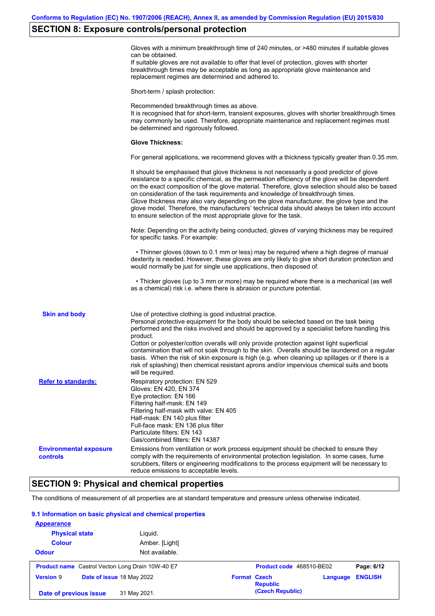### **SECTION 8: Exposure controls/personal protection**

Gloves with a minimum breakthrough time of 240 minutes, or >480 minutes if suitable gloves can be obtained.

If suitable gloves are not available to offer that level of protection, gloves with shorter breakthrough times may be acceptable as long as appropriate glove maintenance and replacement regimes are determined and adhered to.

Short-term / splash protection:

Recommended breakthrough times as above. It is recognised that for short-term, transient exposures, gloves with shorter breakthrough times may commonly be used. Therefore, appropriate maintenance and replacement regimes must be determined and rigorously followed. **Glove Thickness:** For general applications, we recommend gloves with a thickness typically greater than 0.35 mm. It should be emphasised that glove thickness is not necessarily a good predictor of glove resistance to a specific chemical, as the permeation efficiency of the glove will be dependent on the exact composition of the glove material. Therefore, glove selection should also be based on consideration of the task requirements and knowledge of breakthrough times. Glove thickness may also vary depending on the glove manufacturer, the glove type and the glove model. Therefore, the manufacturers' technical data should always be taken into account to ensure selection of the most appropriate glove for the task. Note: Depending on the activity being conducted, gloves of varying thickness may be required for specific tasks. For example: • Thinner gloves (down to 0.1 mm or less) may be required where a high degree of manual dexterity is needed. However, these gloves are only likely to give short duration protection and would normally be just for single use applications, then disposed of. • Thicker gloves (up to 3 mm or more) may be required where there is a mechanical (as well as a chemical) risk i.e. where there is abrasion or puncture potential. Use of protective clothing is good industrial practice. Personal protective equipment for the body should be selected based on the task being performed and the risks involved and should be approved by a specialist before handling this product. Cotton or polyester/cotton overalls will only provide protection against light superficial contamination that will not soak through to the skin. Overalls should be laundered on a regular basis. When the risk of skin exposure is high (e.g. when cleaning up spillages or if there is a risk of splashing) then chemical resistant aprons and/or impervious chemical suits and boots will be required. **Environmental exposure controls** Emissions from ventilation or work process equipment should be checked to ensure they comply with the requirements of environmental protection legislation. In some cases, fume scrubbers, filters or engineering modifications to the process equipment will be necessary to reduce emissions to acceptable levels. **Skin and body Refer to standards:** Respiratory protection: EN 529 Gloves: EN 420, EN 374 Eye protection: EN 166 Filtering half-mask: EN 149 Filtering half-mask with valve: EN 405 Half-mask: EN 140 plus filter Full-face mask: EN 136 plus filter Particulate filters: EN 143 Gas/combined filters: EN 14387

### **SECTION 9: Physical and chemical properties**

The conditions of measurement of all properties are at standard temperature and pressure unless otherwise indicated.

#### **9.1 Information on basic physical and chemical properties**

| <b>Appearance</b>      |                                                         |                                                    |                |
|------------------------|---------------------------------------------------------|----------------------------------------------------|----------------|
| <b>Physical state</b>  | Liguid.                                                 |                                                    |                |
| <b>Colour</b>          | Amber. [Light]                                          |                                                    |                |
| <b>Odour</b>           | Not available.                                          |                                                    |                |
|                        | <b>Product name</b> Castrol Vecton Long Drain 10W-40 E7 | Product code 468510-BE02                           | Page: 6/12     |
| <b>Version 9</b>       | Date of issue 18 May 2022                               | <b>Format Czech</b><br>Language<br><b>Republic</b> | <b>ENGLISH</b> |
| Date of previous issue | 31 May 2021.                                            | (Czech Republic)                                   |                |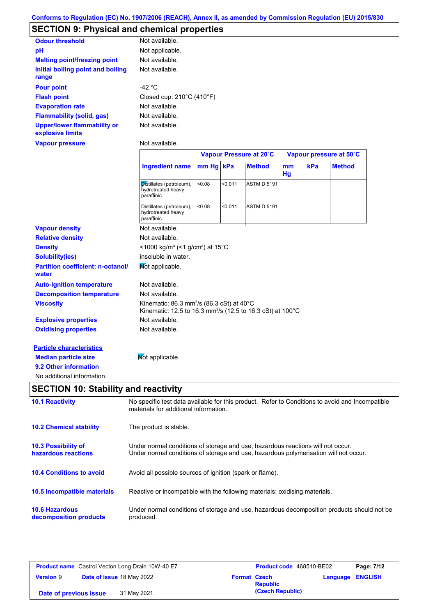### **SECTION 9: Physical and chemical properties**

| <b>Odour threshold</b>                                 | Not available.                                 |
|--------------------------------------------------------|------------------------------------------------|
| рH                                                     | Not applicable.                                |
| <b>Melting point/freezing point</b>                    | Not available.                                 |
| Initial boiling point and boiling<br>range             | Not available.                                 |
| <b>Pour point</b>                                      | -42 $^{\circ}$ C                               |
| <b>Flash point</b>                                     | Closed cup: $210^{\circ}$ C (410 $^{\circ}$ F) |
| <b>Evaporation rate</b>                                | Not available.                                 |
| Flammability (solid, gas)                              | Not available.                                 |
| <b>Upper/lower flammability or</b><br>explosive limits | Not available.                                 |
| <b>Vapour pressure</b>                                 | Not available.                                 |

|                                                   |                                                                                                                                          |           |         | Vapour Pressure at 20°C |                      | Vapour pressure at 50°C |               |
|---------------------------------------------------|------------------------------------------------------------------------------------------------------------------------------------------|-----------|---------|-------------------------|----------------------|-------------------------|---------------|
|                                                   | <b>Ingredient name</b>                                                                                                                   | mm Hg kPa |         | <b>Method</b>           | m <sub>m</sub><br>Hg | kPa                     | <b>Method</b> |
|                                                   | Distillates (petroleum),<br>hydrotreated heavy<br>paraffinic                                                                             | < 0.08    | < 0.011 | <b>ASTM D 5191</b>      |                      |                         |               |
|                                                   | Distillates (petroleum),<br>hydrotreated heavy<br>paraffinic                                                                             | < 0.08    | < 0.011 | <b>ASTM D 5191</b>      |                      |                         |               |
| <b>Vapour density</b>                             | Not available.                                                                                                                           |           |         |                         |                      |                         |               |
| <b>Relative density</b>                           | Not available.                                                                                                                           |           |         |                         |                      |                         |               |
| <b>Density</b>                                    | <1000 kg/m <sup>3</sup> (<1 g/cm <sup>3</sup> ) at 15 <sup>°</sup> C                                                                     |           |         |                         |                      |                         |               |
| <b>Solubility(ies)</b>                            | insoluble in water.                                                                                                                      |           |         |                         |                      |                         |               |
| <b>Partition coefficient: n-octanol/</b><br>water | Mot applicable.                                                                                                                          |           |         |                         |                      |                         |               |
| <b>Auto-ignition temperature</b>                  | Not available.                                                                                                                           |           |         |                         |                      |                         |               |
| <b>Decomposition temperature</b>                  | Not available.                                                                                                                           |           |         |                         |                      |                         |               |
| <b>Viscosity</b>                                  | Kinematic: 86.3 mm <sup>2</sup> /s (86.3 cSt) at 40°C<br>Kinematic: 12.5 to 16.3 mm <sup>2</sup> /s (12.5 to 16.3 cSt) at 100°C          |           |         |                         |                      |                         |               |
| <b>Explosive properties</b>                       | Not available.                                                                                                                           |           |         |                         |                      |                         |               |
| <b>Oxidising properties</b>                       | Not available.                                                                                                                           |           |         |                         |                      |                         |               |
| <b>Particle characteristics</b>                   |                                                                                                                                          |           |         |                         |                      |                         |               |
| <b>Median particle size</b>                       | Mot applicable.                                                                                                                          |           |         |                         |                      |                         |               |
| 9.2 Other information                             |                                                                                                                                          |           |         |                         |                      |                         |               |
| No additional information.                        |                                                                                                                                          |           |         |                         |                      |                         |               |
| <b>SECTION 10: Stability and reactivity</b>       |                                                                                                                                          |           |         |                         |                      |                         |               |
| <b>10.1 Reactivity</b>                            | No specific test data available for this product. Refer to Conditions to avoid and Incompatible<br>materials for additional information. |           |         |                         |                      |                         |               |
| <b>10.2 Chemical stability</b>                    | The product is stable.                                                                                                                   |           |         |                         |                      |                         |               |
| 10.3 Possibility of                               | Under normal conditions of storage and use, hazardous reactions will not occur.                                                          |           |         |                         |                      |                         |               |
| hazardous reactions                               | Under normal conditions of storage and use, hazardous polymerisation will not occur.                                                     |           |         |                         |                      |                         |               |
| <b>10.4 Conditions to avoid</b>                   | Avoid all possible sources of ignition (spark or flame).                                                                                 |           |         |                         |                      |                         |               |

**10.5 Incompatible materials** Reactive or incompatible with the following materials: oxidising materials.

**10.6 Hazardous decomposition products** Under normal conditions of storage and use, hazardous decomposition products should not be produced.

|                        | <b>Product name</b> Castrol Vecton Long Drain 10W-40 E7 | <b>Product code</b> 468510-BE02        |                         | Page: 7/12 |
|------------------------|---------------------------------------------------------|----------------------------------------|-------------------------|------------|
| <b>Version 9</b>       | Date of issue 18 May 2022                               | <b>Format Czech</b><br><b>Republic</b> | <b>Language ENGLISH</b> |            |
| Date of previous issue | 31 May 2021.                                            | (Czech Republic)                       |                         |            |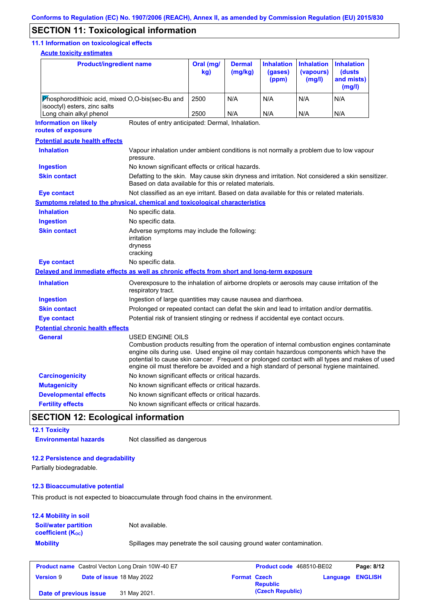### **SECTION 11: Toxicological information**

#### **11.1 Information on toxicological effects**

**Acute toxicity estimates**

| <u>Acute toxicity estimates</u>                                                            |                                                                                                                                                                                                                                                                                                                                                                                                                 |                  |                          |                                       |                                          |                                                     |
|--------------------------------------------------------------------------------------------|-----------------------------------------------------------------------------------------------------------------------------------------------------------------------------------------------------------------------------------------------------------------------------------------------------------------------------------------------------------------------------------------------------------------|------------------|--------------------------|---------------------------------------|------------------------------------------|-----------------------------------------------------|
| <b>Product/ingredient name</b>                                                             |                                                                                                                                                                                                                                                                                                                                                                                                                 | Oral (mg/<br>kg) | <b>Dermal</b><br>(mg/kg) | <b>Inhalation</b><br>(gases)<br>(ppm) | <b>Inhalation</b><br>(vapours)<br>(mg/l) | <b>Inhalation</b><br>(dusts<br>and mists)<br>(mg/l) |
| Phosphorodithioic acid, mixed O,O-bis(sec-Bu and                                           |                                                                                                                                                                                                                                                                                                                                                                                                                 | 2500             | N/A                      | N/A                                   | N/A                                      | N/A                                                 |
| isooctyl) esters, zinc salts<br>Long chain alkyl phenol                                    |                                                                                                                                                                                                                                                                                                                                                                                                                 | 2500             | N/A                      | N/A                                   | N/A                                      | N/A                                                 |
| <b>Information on likely</b>                                                               | Routes of entry anticipated: Dermal, Inhalation.                                                                                                                                                                                                                                                                                                                                                                |                  |                          |                                       |                                          |                                                     |
| routes of exposure                                                                         |                                                                                                                                                                                                                                                                                                                                                                                                                 |                  |                          |                                       |                                          |                                                     |
| <b>Potential acute health effects</b>                                                      |                                                                                                                                                                                                                                                                                                                                                                                                                 |                  |                          |                                       |                                          |                                                     |
| <b>Inhalation</b>                                                                          | Vapour inhalation under ambient conditions is not normally a problem due to low vapour<br>pressure.                                                                                                                                                                                                                                                                                                             |                  |                          |                                       |                                          |                                                     |
| <b>Ingestion</b>                                                                           | No known significant effects or critical hazards.                                                                                                                                                                                                                                                                                                                                                               |                  |                          |                                       |                                          |                                                     |
| <b>Skin contact</b>                                                                        | Defatting to the skin. May cause skin dryness and irritation. Not considered a skin sensitizer.<br>Based on data available for this or related materials.                                                                                                                                                                                                                                                       |                  |                          |                                       |                                          |                                                     |
| <b>Eye contact</b>                                                                         | Not classified as an eye irritant. Based on data available for this or related materials.                                                                                                                                                                                                                                                                                                                       |                  |                          |                                       |                                          |                                                     |
| Symptoms related to the physical, chemical and toxicological characteristics               |                                                                                                                                                                                                                                                                                                                                                                                                                 |                  |                          |                                       |                                          |                                                     |
| <b>Inhalation</b>                                                                          | No specific data.                                                                                                                                                                                                                                                                                                                                                                                               |                  |                          |                                       |                                          |                                                     |
| <b>Ingestion</b>                                                                           | No specific data.                                                                                                                                                                                                                                                                                                                                                                                               |                  |                          |                                       |                                          |                                                     |
| <b>Skin contact</b>                                                                        | Adverse symptoms may include the following:<br>irritation<br>dryness<br>cracking                                                                                                                                                                                                                                                                                                                                |                  |                          |                                       |                                          |                                                     |
| <b>Eye contact</b>                                                                         | No specific data.                                                                                                                                                                                                                                                                                                                                                                                               |                  |                          |                                       |                                          |                                                     |
| Delayed and immediate effects as well as chronic effects from short and long-term exposure |                                                                                                                                                                                                                                                                                                                                                                                                                 |                  |                          |                                       |                                          |                                                     |
| <b>Inhalation</b>                                                                          | Overexposure to the inhalation of airborne droplets or aerosols may cause irritation of the<br>respiratory tract.                                                                                                                                                                                                                                                                                               |                  |                          |                                       |                                          |                                                     |
| <b>Ingestion</b>                                                                           | Ingestion of large quantities may cause nausea and diarrhoea.                                                                                                                                                                                                                                                                                                                                                   |                  |                          |                                       |                                          |                                                     |
| <b>Skin contact</b>                                                                        | Prolonged or repeated contact can defat the skin and lead to irritation and/or dermatitis.                                                                                                                                                                                                                                                                                                                      |                  |                          |                                       |                                          |                                                     |
| <b>Eye contact</b>                                                                         | Potential risk of transient stinging or redness if accidental eye contact occurs.                                                                                                                                                                                                                                                                                                                               |                  |                          |                                       |                                          |                                                     |
| <b>Potential chronic health effects</b>                                                    |                                                                                                                                                                                                                                                                                                                                                                                                                 |                  |                          |                                       |                                          |                                                     |
| <b>General</b>                                                                             | <b>USED ENGINE OILS</b><br>Combustion products resulting from the operation of internal combustion engines contaminate<br>engine oils during use. Used engine oil may contain hazardous components which have the<br>potential to cause skin cancer. Frequent or prolonged contact with all types and makes of used<br>engine oil must therefore be avoided and a high standard of personal hygiene maintained. |                  |                          |                                       |                                          |                                                     |
| <b>Carcinogenicity</b>                                                                     | No known significant effects or critical hazards.                                                                                                                                                                                                                                                                                                                                                               |                  |                          |                                       |                                          |                                                     |
| <b>Mutagenicity</b>                                                                        | No known significant effects or critical hazards.                                                                                                                                                                                                                                                                                                                                                               |                  |                          |                                       |                                          |                                                     |
| <b>Developmental effects</b>                                                               | No known significant effects or critical hazards.                                                                                                                                                                                                                                                                                                                                                               |                  |                          |                                       |                                          |                                                     |
| <b>Fertility effects</b>                                                                   | No known significant effects or critical hazards.                                                                                                                                                                                                                                                                                                                                                               |                  |                          |                                       |                                          |                                                     |
| <b>SECTION 12: Ecological information</b>                                                  |                                                                                                                                                                                                                                                                                                                                                                                                                 |                  |                          |                                       |                                          |                                                     |
| <b>12.1 Toxicity</b>                                                                       |                                                                                                                                                                                                                                                                                                                                                                                                                 |                  |                          |                                       |                                          |                                                     |
| <b>Environmental hazards</b>                                                               | Not classified as dangerous                                                                                                                                                                                                                                                                                                                                                                                     |                  |                          |                                       |                                          |                                                     |
| <b>12.2 Persistence and degradability</b>                                                  |                                                                                                                                                                                                                                                                                                                                                                                                                 |                  |                          |                                       |                                          |                                                     |
| Partially biodegradable.                                                                   |                                                                                                                                                                                                                                                                                                                                                                                                                 |                  |                          |                                       |                                          |                                                     |
| <b>12.3 Bioaccumulative potential</b>                                                      |                                                                                                                                                                                                                                                                                                                                                                                                                 |                  |                          |                                       |                                          |                                                     |
| This product is not expected to bioaccumulate through food chains in the environment.      |                                                                                                                                                                                                                                                                                                                                                                                                                 |                  |                          |                                       |                                          |                                                     |
| 12.4 Mobility in soil                                                                      |                                                                                                                                                                                                                                                                                                                                                                                                                 |                  |                          |                                       |                                          |                                                     |
| <b>Soil/water partition</b>                                                                | Not available.                                                                                                                                                                                                                                                                                                                                                                                                  |                  |                          |                                       |                                          |                                                     |

**coefficient (KOC)**

**Mobility** Spillages may penetrate the soil causing ground water contamination.

| <b>Product name</b> Castrol Vecton Long Drain 10W-40 E7 |  | Product code 468510-BE02  | Page: 8/12          |                  |                         |  |
|---------------------------------------------------------|--|---------------------------|---------------------|------------------|-------------------------|--|
| <b>Version 9</b>                                        |  | Date of issue 18 May 2022 | <b>Format Czech</b> | <b>Republic</b>  | <b>Language ENGLISH</b> |  |
| Date of previous issue                                  |  | 31 May 2021.              |                     | (Czech Republic) |                         |  |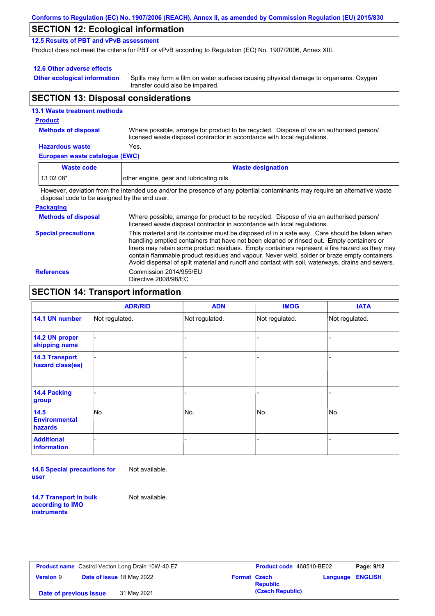### **SECTION 12: Ecological information**

**12.5 Results of PBT and vPvB assessment**

Product does not meet the criteria for PBT or vPvB according to Regulation (EC) No. 1907/2006, Annex XIII.

#### **12.6 Other adverse effects**

**Other ecological information**

Spills may form a film on water surfaces causing physical damage to organisms. Oxygen transfer could also be impaired.

### **SECTION 13: Disposal considerations**

#### **European waste catalogue (EWC) Hazardous waste** Yes. Where possible, arrange for product to be recycled. Dispose of via an authorised person/ licensed waste disposal contractor in accordance with local regulations. **Methods of disposal 13.1 Waste treatment methods Product Waste code Waste designation**

13 02 08\* **our leading of the engine, gear and lubricating oils** However, deviation from the intended use and/or the presence of any potential contaminants may require an alternative waste

disposal code to be assigned by the end user.

#### **Packaging**

| <b>Methods of disposal</b> | Where possible, arrange for product to be recycled. Dispose of via an authorised person/<br>licensed waste disposal contractor in accordance with local regulations.                                                                                                                                                                                                                                                                                                                            |
|----------------------------|-------------------------------------------------------------------------------------------------------------------------------------------------------------------------------------------------------------------------------------------------------------------------------------------------------------------------------------------------------------------------------------------------------------------------------------------------------------------------------------------------|
| <b>Special precautions</b> | This material and its container must be disposed of in a safe way. Care should be taken when<br>handling emptied containers that have not been cleaned or rinsed out. Empty containers or<br>liners may retain some product residues. Empty containers represent a fire hazard as they may<br>contain flammable product residues and vapour. Never weld, solder or braze empty containers.<br>Avoid dispersal of spilt material and runoff and contact with soil, waterways, drains and sewers. |
| <b>References</b>          | Commission 2014/955/EU<br>Directive 2008/98/EC                                                                                                                                                                                                                                                                                                                                                                                                                                                  |

### **SECTION 14: Transport information**

|                                                | <b>ADR/RID</b> | <b>ADN</b>     | <b>IMDG</b>    | <b>IATA</b>    |
|------------------------------------------------|----------------|----------------|----------------|----------------|
| 14.1 UN number                                 | Not regulated. | Not regulated. | Not regulated. | Not regulated. |
| 14.2 UN proper<br>shipping name                |                |                |                |                |
| <b>14.3 Transport</b><br>hazard class(es)      |                |                |                |                |
| 14.4 Packing<br>group                          |                |                |                |                |
| 14.5<br><b>Environmental</b><br><b>hazards</b> | No.            | No.            | No.            | No.            |
| <b>Additional</b><br>information               |                |                |                | -              |

**14.6 Special precautions for user** Not available.

**14.7 Transport in bulk according to IMO instruments**

Not available.

|                        | <b>Product name</b> Castrol Vecton Long Drain 10W-40 E7 |                     | Product code 468510-BE02 |                  | Page: 9/12 |
|------------------------|---------------------------------------------------------|---------------------|--------------------------|------------------|------------|
| <b>Version 9</b>       | Date of issue 18 May 2022                               | <b>Format Czech</b> | <b>Republic</b>          | Language ENGLISH |            |
| Date of previous issue | 31 May 2021.                                            |                     | (Czech Republic)         |                  |            |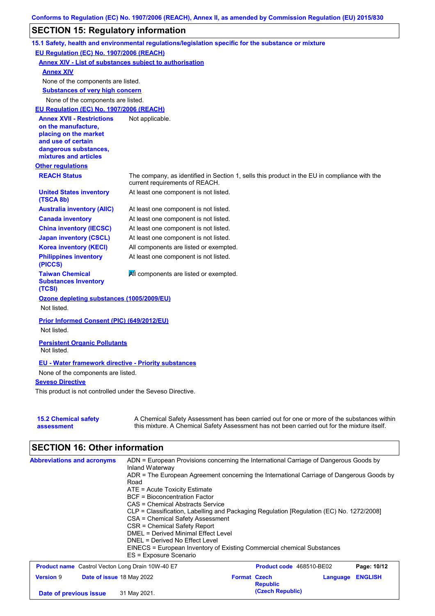### **SECTION 15: Regulatory information**

|                                                                 | 15.1 Safety, health and environmental regulations/legislation specific for the substance or mixture                                                                                       |
|-----------------------------------------------------------------|-------------------------------------------------------------------------------------------------------------------------------------------------------------------------------------------|
| EU Regulation (EC) No. 1907/2006 (REACH)                        |                                                                                                                                                                                           |
| <b>Annex XIV - List of substances subject to authorisation</b>  |                                                                                                                                                                                           |
| <b>Annex XIV</b>                                                |                                                                                                                                                                                           |
| None of the components are listed.                              |                                                                                                                                                                                           |
| <b>Substances of very high concern</b>                          |                                                                                                                                                                                           |
| None of the components are listed.                              |                                                                                                                                                                                           |
| EU Regulation (EC) No. 1907/2006 (REACH)                        |                                                                                                                                                                                           |
| <b>Annex XVII - Restrictions</b>                                | Not applicable.                                                                                                                                                                           |
| on the manufacture,                                             |                                                                                                                                                                                           |
| placing on the market<br>and use of certain                     |                                                                                                                                                                                           |
| dangerous substances,                                           |                                                                                                                                                                                           |
| mixtures and articles                                           |                                                                                                                                                                                           |
| <b>Other regulations</b>                                        |                                                                                                                                                                                           |
| <b>REACH Status</b>                                             | The company, as identified in Section 1, sells this product in the EU in compliance with the<br>current requirements of REACH.                                                            |
| <b>United States inventory</b><br>(TSCA 8b)                     | At least one component is not listed.                                                                                                                                                     |
| <b>Australia inventory (AIIC)</b>                               | At least one component is not listed.                                                                                                                                                     |
| <b>Canada inventory</b>                                         | At least one component is not listed.                                                                                                                                                     |
| <b>China inventory (IECSC)</b>                                  | At least one component is not listed.                                                                                                                                                     |
| <b>Japan inventory (CSCL)</b>                                   | At least one component is not listed.                                                                                                                                                     |
| <b>Korea inventory (KECI)</b>                                   | All components are listed or exempted.                                                                                                                                                    |
| <b>Philippines inventory</b><br>(PICCS)                         | At least one component is not listed.                                                                                                                                                     |
| <b>Taiwan Chemical</b><br><b>Substances Inventory</b><br>(TCSI) | All components are listed or exempted.                                                                                                                                                    |
| Ozone depleting substances (1005/2009/EU)                       |                                                                                                                                                                                           |
| Not listed.                                                     |                                                                                                                                                                                           |
| Prior Informed Consent (PIC) (649/2012/EU)                      |                                                                                                                                                                                           |
| Not listed.                                                     |                                                                                                                                                                                           |
| <b>Persistent Organic Pollutants</b><br>Not listed.             |                                                                                                                                                                                           |
| <b>EU - Water framework directive - Priority substances</b>     |                                                                                                                                                                                           |
| None of the components are listed.                              |                                                                                                                                                                                           |
| <b>Seveso Directive</b>                                         |                                                                                                                                                                                           |
| This product is not controlled under the Seveso Directive.      |                                                                                                                                                                                           |
| <b>15.2 Chemical safety</b><br>assessment                       | A Chemical Safety Assessment has been carried out for one or more of the substances within<br>this mixture. A Chemical Safety Assessment has not been carried out for the mixture itself. |

# **SECTION 16: Other information**

| <b>Abbreviations and acronyms</b>                       | ADN = European Provisions concerning the International Carriage of Dangerous Goods by<br>Inland Waterway<br>ADR = The European Agreement concerning the International Carriage of Dangerous Goods by<br>Road<br>$ATE = Acute Toxicity Estimate$<br>BCF = Bioconcentration Factor<br>CAS = Chemical Abstracts Service<br>CLP = Classification, Labelling and Packaging Regulation [Regulation (EC) No. 1272/2008]<br>CSA = Chemical Safety Assessment<br>CSR = Chemical Safety Report<br><b>DMEL = Derived Minimal Effect Level</b><br>DNEL = Derived No Effect Level<br>EINECS = European Inventory of Existing Commercial chemical Substances<br>ES = Exposure Scenario |                                        |          |                |
|---------------------------------------------------------|--------------------------------------------------------------------------------------------------------------------------------------------------------------------------------------------------------------------------------------------------------------------------------------------------------------------------------------------------------------------------------------------------------------------------------------------------------------------------------------------------------------------------------------------------------------------------------------------------------------------------------------------------------------------------|----------------------------------------|----------|----------------|
| <b>Product name</b> Castrol Vecton Long Drain 10W-40 E7 |                                                                                                                                                                                                                                                                                                                                                                                                                                                                                                                                                                                                                                                                          | <b>Product code</b> 468510-BE02        |          | Page: 10/12    |
| <b>Version 9</b><br>Date of issue 18 May 2022           |                                                                                                                                                                                                                                                                                                                                                                                                                                                                                                                                                                                                                                                                          | <b>Format Czech</b><br><b>Republic</b> | Language | <b>ENGLISH</b> |
| Date of previous issue                                  | 31 May 2021.                                                                                                                                                                                                                                                                                                                                                                                                                                                                                                                                                                                                                                                             | (Czech Republic)                       |          |                |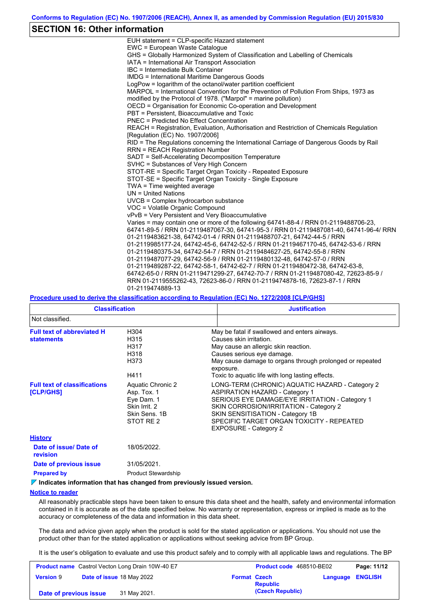### **SECTION 16: Other information**

| EUH statement = CLP-specific Hazard statement                                           |
|-----------------------------------------------------------------------------------------|
| EWC = European Waste Catalogue                                                          |
| GHS = Globally Harmonized System of Classification and Labelling of Chemicals           |
| IATA = International Air Transport Association                                          |
| IBC = Intermediate Bulk Container                                                       |
| <b>IMDG</b> = International Maritime Dangerous Goods                                    |
| LogPow = logarithm of the octanol/water partition coefficient                           |
| MARPOL = International Convention for the Prevention of Pollution From Ships, 1973 as   |
| modified by the Protocol of 1978. ("Marpol" = marine pollution)                         |
| OECD = Organisation for Economic Co-operation and Development                           |
| PBT = Persistent, Bioaccumulative and Toxic                                             |
| <b>PNEC</b> = Predicted No Effect Concentration                                         |
| REACH = Registration, Evaluation, Authorisation and Restriction of Chemicals Regulation |
| [Regulation (EC) No. 1907/2006]                                                         |
| RID = The Regulations concerning the International Carriage of Dangerous Goods by Rail  |
| <b>RRN = REACH Registration Number</b>                                                  |
| SADT = Self-Accelerating Decomposition Temperature                                      |
| SVHC = Substances of Very High Concern                                                  |
| STOT-RE = Specific Target Organ Toxicity - Repeated Exposure                            |
| STOT-SE = Specific Target Organ Toxicity - Single Exposure                              |
| TWA = Time weighted average                                                             |
| $UN = United Nations$                                                                   |
| UVCB = Complex hydrocarbon substance                                                    |
| VOC = Volatile Organic Compound                                                         |
| vPvB = Very Persistent and Very Bioaccumulative                                         |
| Varies = may contain one or more of the following 64741-88-4 / RRN 01-2119488706-23,    |
| 64741-89-5 / RRN 01-2119487067-30, 64741-95-3 / RRN 01-2119487081-40, 64741-96-4/ RRN   |
| 01-2119483621-38, 64742-01-4 / RRN 01-2119488707-21, 64742-44-5 / RRN                   |
| 01-2119985177-24, 64742-45-6, 64742-52-5 / RRN 01-2119467170-45, 64742-53-6 / RRN       |
| 01-2119480375-34, 64742-54-7 / RRN 01-2119484627-25, 64742-55-8 / RRN                   |
| 01-2119487077-29, 64742-56-9 / RRN 01-2119480132-48, 64742-57-0 / RRN                   |
| 01-2119489287-22, 64742-58-1, 64742-62-7 / RRN 01-2119480472-38, 64742-63-8,            |
| 64742-65-0 / RRN 01-2119471299-27, 64742-70-7 / RRN 01-2119487080-42, 72623-85-9 /      |
| RRN 01-2119555262-43, 72623-86-0 / RRN 01-2119474878-16, 72623-87-1 / RRN               |
| 01-2119474889-13                                                                        |

#### **Procedure used to derive the classification according to Regulation (EC) No. 1272/2008 [CLP/GHS]**

| <b>Classification</b>                                  |                                                                                               | <b>Justification</b>                                                                                                                                                                                                                                                                                  |
|--------------------------------------------------------|-----------------------------------------------------------------------------------------------|-------------------------------------------------------------------------------------------------------------------------------------------------------------------------------------------------------------------------------------------------------------------------------------------------------|
| Not classified.                                        |                                                                                               |                                                                                                                                                                                                                                                                                                       |
| <b>Full text of abbreviated H</b><br><b>statements</b> | H304<br>H315<br>H317<br>H318<br>H373<br>H411                                                  | May be fatal if swallowed and enters airways.<br>Causes skin irritation.<br>May cause an allergic skin reaction.<br>Causes serious eye damage.<br>May cause damage to organs through prolonged or repeated<br>exposure.<br>Toxic to aquatic life with long lasting effects.                           |
| <b>Full text of classifications</b><br>[CLP/GHS]       | Aquatic Chronic 2<br>Asp. Tox. 1<br>Eye Dam. 1<br>Skin Irrit, 2<br>Skin Sens, 1B<br>STOT RE 2 | LONG-TERM (CHRONIC) AQUATIC HAZARD - Category 2<br><b>ASPIRATION HAZARD - Category 1</b><br>SERIOUS EYE DAMAGE/EYE IRRITATION - Category 1<br>SKIN CORROSION/IRRITATION - Category 2<br>SKIN SENSITISATION - Category 1B<br>SPECIFIC TARGET ORGAN TOXICITY - REPEATED<br><b>EXPOSURE - Category 2</b> |
| <b>History</b>                                         |                                                                                               |                                                                                                                                                                                                                                                                                                       |
| Date of issue/Date of<br><b>revision</b>               | 18/05/2022.                                                                                   |                                                                                                                                                                                                                                                                                                       |
| Date of previous issue                                 | 31/05/2021.                                                                                   |                                                                                                                                                                                                                                                                                                       |

**Prepared by Product Stewardship** 

#### **Indicates information that has changed from previously issued version.**

#### **Notice to reader**

All reasonably practicable steps have been taken to ensure this data sheet and the health, safety and environmental information contained in it is accurate as of the date specified below. No warranty or representation, express or implied is made as to the accuracy or completeness of the data and information in this data sheet.

The data and advice given apply when the product is sold for the stated application or applications. You should not use the product other than for the stated application or applications without seeking advice from BP Group.

It is the user's obligation to evaluate and use this product safely and to comply with all applicable laws and regulations. The BP

| <b>Product name</b> Castrol Vecton Long Drain 10W-40 E7 |  | <b>Product code</b> 468510-BE02  |                     | Page: 11/12      |                         |  |
|---------------------------------------------------------|--|----------------------------------|---------------------|------------------|-------------------------|--|
| <b>Version 9</b>                                        |  | <b>Date of issue 18 May 2022</b> | <b>Format Czech</b> | <b>Republic</b>  | <b>Language ENGLISH</b> |  |
| Date of previous issue                                  |  | 31 May 2021.                     |                     | (Czech Republic) |                         |  |